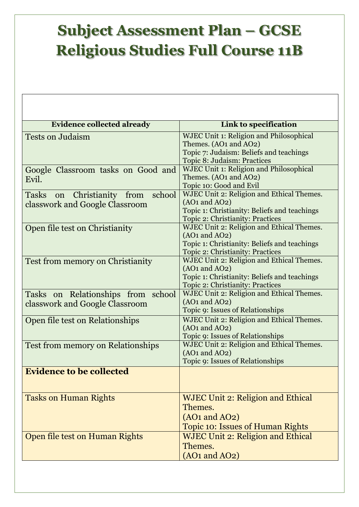## **Subject Assessment Plan – GCSE Religious Studies Full Course 11B**

| <b>Evidence collected already</b>                                      | <b>Link to specification</b>                                                                                                                              |
|------------------------------------------------------------------------|-----------------------------------------------------------------------------------------------------------------------------------------------------------|
| <b>Tests on Judaism</b>                                                | <b>WJEC Unit 1: Religion and Philosophical</b><br>Themes. (AO1 and AO2)<br>Topic 7: Judaism: Beliefs and teachings<br>Topic 8: Judaism: Practices         |
| Google Classroom tasks on Good and<br>Evil.                            | <b>WJEC Unit 1: Religion and Philosophical</b><br>Themes. (AO1 and AO2)<br>Topic 10: Good and Evil                                                        |
| Tasks on Christianity from<br>school<br>classwork and Google Classroom | WJEC Unit 2: Religion and Ethical Themes.<br>$(AO1 \text{ and } AO2)$<br>Topic 1: Christianity: Beliefs and teachings<br>Topic 2: Christianity: Practices |
| Open file test on Christianity                                         | WJEC Unit 2: Religion and Ethical Themes.<br>$(AO1 \text{ and } AO2)$<br>Topic 1: Christianity: Beliefs and teachings<br>Topic 2: Christianity: Practices |
| Test from memory on Christianity                                       | WJEC Unit 2: Religion and Ethical Themes.<br>$(AO1 \text{ and } AO2)$<br>Topic 1: Christianity: Beliefs and teachings<br>Topic 2: Christianity: Practices |
| Tasks on Relationships from school<br>classwork and Google Classroom   | WJEC Unit 2: Religion and Ethical Themes.<br>$(AO1 \text{ and } AO2)$<br><b>Topic 9: Issues of Relationships</b>                                          |
| Open file test on Relationships                                        | WJEC Unit 2: Religion and Ethical Themes.<br>$(AO1 \text{ and } AO2)$<br>Topic 9: Issues of Relationships                                                 |
| <b>Test from memory on Relationships</b>                               | WJEC Unit 2: Religion and Ethical Themes.<br>$(AO1 \text{ and } AO2)$<br>Topic 9: Issues of Relationships                                                 |
| <b>Evidence to be collected</b>                                        |                                                                                                                                                           |
| <b>Tasks on Human Rights</b>                                           | <b>WJEC Unit 2: Religion and Ethical</b><br>Themes.<br>$(AO1 \text{ and } AO2)$<br><b>Topic 10: Issues of Human Rights</b>                                |
| Open file test on Human Rights                                         | <b>WJEC Unit 2: Religion and Ethical</b><br>Themes.<br>$(AO1 \text{ and } AO2)$                                                                           |